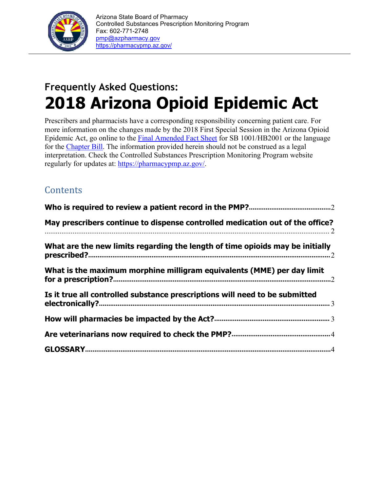

# **Frequently Asked Questions: 2018 Arizona Opioid Epidemic Act**

Prescribers and pharmacists have a corresponding responsibility concerning patient care. For more information on the changes made by the 2018 First Special Session in the Arizona Opioid Epidemic Act, go online to the [Final Amended Fact Sheet](https://www.azleg.gov/legtext/53leg/1S/summary/S.100_ASENACTED.pdf) for SB 1001/HB2001 or the language for the [Chapter Bill.](https://www.azleg.gov/legtext/53leg/1S/laws/0001.pdf) The information provided herein should not be construed as a legal interpretation. Check the Controlled Substances Prescription Monitoring Program website regularly for updates at: https://pharmacypmp.az.gov/.

# **Contents**

| May prescribers continue to dispense controlled medication out of the office? |
|-------------------------------------------------------------------------------|
| What are the new limits regarding the length of time opioids may be initially |
| What is the maximum morphine milligram equivalents (MME) per day limit        |
| Is it true all controlled substance prescriptions will need to be submitted   |
|                                                                               |
|                                                                               |
|                                                                               |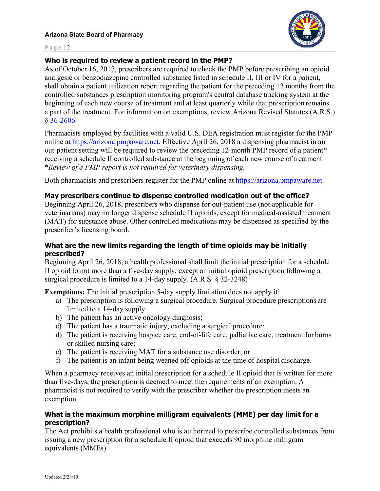

#### Page | 2

# **Who is required to review a patient record in the PMP?**

As of October 16, 2017, prescribers are required to check the PMP before prescribing an opioid analgesic or benzodiazepine controlled substance listed in schedule II, III or IV for a patient, shall obtain a patient utilization report regarding the patient for the preceding 12 months from the controlled substances prescription monitoring program's central database tracking system at the beginning of each new course of treatment and at least quarterly while that prescription remains a part of the treatment. For information on exemptions, review Arizona Revised Statutes (A.R.S.) § [36-2606.](https://www.azleg.gov/viewDocument/?docName=http://www.azleg.gov/ars/36/02606.htm)

Pharmacists employed by facilities with a valid U.S. DEA registration must register for the PMP online at https://arizona.pmpaware.net. Effective April 26, 2018 a dispensing pharmacist in an out-patient setting will be required to review the preceding 12-month PMP record of a patient\* receiving a schedule II controlled substance at the beginning of each new course of treatment. \**Review of a PMP report is not required for veterinary dispensing.*

Both pharmacists and prescribers register for the PMP online at https://arizona.pmpaware.net.

# **May prescribers continue to dispense controlled medication out of the office?**

Beginning April 26, 2018, prescribers who dispense for out-patient use (not applicable for veterinarians) may no longer dispense schedule II opioids, except for medical-assisted treatment (MAT) for substance abuse. Other controlled medications may be dispensed as specified by the prescriber's licensing board.

# **What are the new limits regarding the length of time opioids may be initially prescribed?**

Beginning April 26, 2018, a health professional shall limit the initial prescription for a schedule II opioid to not more than a five-day supply, except an initial opioid prescription following a surgical procedure is limited to a 14-day supply. (A.R.S. § 32-3248)

**Exemptions:** The initial prescription 5-day supply limitation does not apply if:

- a) The prescription is following a surgical procedure. Surgical procedure prescriptions are limited to a 14-day supply
- b) The patient has an active oncology diagnosis;
- c) The patient has a traumatic injury, excluding a surgical procedure;
- d) The patient is receiving hospice care, end-of-life care, palliative care, treatment for burns or skilled nursing care;
- e) The patient is receiving MAT for a substance use disorder; or
- f) The patient is an infant being weaned off opioids at the time of hospital discharge.

When a pharmacy receives an initial prescription for a schedule II opioid that is written for more than five-days, the prescription is deemed to meet the requirements of an exemption. A pharmacist is not required to verify with the prescriber whether the prescription meets an exemption.

# **What is the maximum morphine milligram equivalents (MME) per day limit for a prescription?**

The Act prohibits a health professional who is authorized to prescribe controlled substances from issuing a new prescription for a schedule II opioid that exceeds 90 morphine milligram equivalents (MMEs).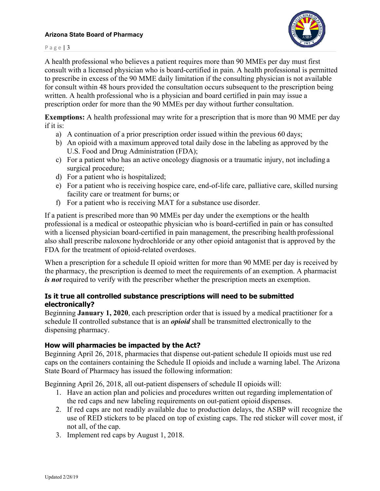#### **Arizona State Board of Pharmacy**



Page | 3

A health professional who believes a patient requires more than 90 MMEs per day must first consult with a licensed physician who is board-certified in pain. A health professional is permitted to prescribe in excess of the 90 MME daily limitation if the consulting physician is not available for consult within 48 hours provided the consultation occurs subsequent to the prescription being written. A health professional who is a physician and board certified in pain may issue a prescription order for more than the 90 MMEs per day without further consultation.

**Exemptions:** A health professional may write for a prescription that is more than 90 MME per day if it is:

- a) A continuation of a prior prescription order issued within the previous 60 days;
- b) An opioid with a maximum approved total daily dose in the labeling as approved by the U.S. Food and Drug Administration (FDA);
- c) For a patient who has an active oncology diagnosis or a traumatic injury, not including a surgical procedure;
- d) For a patient who is hospitalized;
- e) For a patient who is receiving hospice care, end-of-life care, palliative care, skilled nursing facility care or treatment for burns; or
- f) For a patient who is receiving MAT for a substance use disorder.

If a patient is prescribed more than 90 MMEs per day under the exemptions or the health professional is a medical or osteopathic physician who is board-certified in pain or has consulted with a licensed physician board-certified in pain management, the prescribing health professional also shall prescribe naloxone hydrochloride or any other opioid antagonist that is approved by the FDA for the treatment of opioid-related overdoses.

When a prescription for a schedule II opioid written for more than 90 MME per day is received by the pharmacy, the prescription is deemed to meet the requirements of an exemption. A pharmacist *is not* required to verify with the prescriber whether the prescription meets an exemption.

# **Is it true all controlled substance prescriptions will need to be submitted electronically?**

Beginning **January 1, 2020**, each prescription order that is issued by a medical practitioner for a schedule II controlled substance that is an *opioid* shall be transmitted electronically to the dispensing pharmacy.

# **How will pharmacies be impacted by the Act?**

Beginning April 26, 2018, pharmacies that dispense out-patient schedule II opioids must use red caps on the containers containing the Schedule II opioids and include a warning label. The Arizona State Board of Pharmacy has issued the following information:

Beginning April 26, 2018, all out-patient dispensers of schedule II opioids will:

- 1. Have an action plan and policies and procedures written out regarding implementation of the red caps and new labeling requirements on out-patient opioid dispenses.
- 2. If red caps are not readily available due to production delays, the ASBP will recognize the use of RED stickers to be placed on top of existing caps. The red sticker will cover most, if not all, of the cap.
- 3. Implement red caps by August 1, 2018.